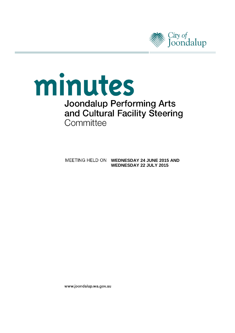

# minutes **Joondalup Performing Arts** and Cultural Facility Steering Committee

**MEETING HELD ON WEDNESDAY 24 JUNE 2015 AND WEDNESDAY 22 JULY 2015**

www.joondalup.wa.gov.au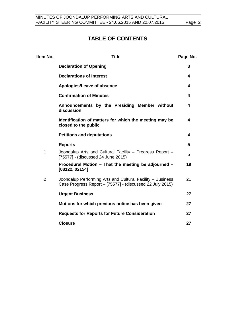# **TABLE OF CONTENTS**

| <b>Title</b>                                                                                                            | Page No. |
|-------------------------------------------------------------------------------------------------------------------------|----------|
| <b>Declaration of Opening</b>                                                                                           | 3        |
| <b>Declarations of Interest</b>                                                                                         | 4        |
| Apologies/Leave of absence                                                                                              | 4        |
| <b>Confirmation of Minutes</b>                                                                                          | 4        |
| Announcements by the Presiding Member without<br>discussion                                                             | 4        |
| Identification of matters for which the meeting may be<br>closed to the public                                          | 4        |
| <b>Petitions and deputations</b>                                                                                        | 4        |
| <b>Reports</b>                                                                                                          | 5        |
| Joondalup Arts and Cultural Facility - Progress Report -<br>[75577] - (discussed 24 June 2015)                          | 5        |
| Procedural Motion - That the meeting be adjourned -<br>[08122, 02154]                                                   | 19       |
| Joondalup Performing Arts and Cultural Facility - Business<br>Case Progress Report - [75577] - (discussed 22 July 2015) | 21       |
| <b>Urgent Business</b>                                                                                                  | 27       |
| Motions for which previous notice has been given                                                                        | 27       |
| <b>Requests for Reports for Future Consideration</b>                                                                    | 27       |
| <b>Closure</b>                                                                                                          | 27       |
|                                                                                                                         |          |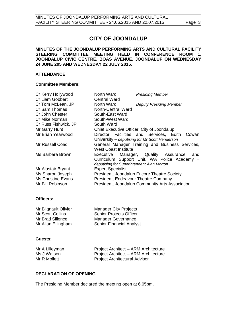## **CITY OF JOONDALUP**

#### **MINUTES OF THE JOONDALUP PERFORMING ARTS AND CULTURAL FACILITY STEERING COMMITTEE MEETING HELD IN CONFERENCE ROOM 1, JOONDALUP CIVIC CENTRE, BOAS AVENUE, JOONDALUP ON WEDNESDAY 24 JUNE 205 AND WEDNESDAY 22 JULY 2015.**

#### **ATTENDANCE**

#### **Committee Members:**

| Cr Kerry Hollywood        | North Ward                                 | <b>Presiding Member</b>                          |
|---------------------------|--------------------------------------------|--------------------------------------------------|
| Cr Liam Gobbert           | <b>Central Ward</b>                        |                                                  |
| Cr Tom McLean, JP         | North Ward                                 | <b>Deputy Presiding Member</b>                   |
| Cr Sam Thomas             | <b>North-Central Ward</b>                  |                                                  |
| Cr John Chester           | South-East Ward                            |                                                  |
| Cr Mike Norman            | South-West Ward                            |                                                  |
| Cr Russ Fishwick, JP      | South Ward                                 |                                                  |
| Mr Garry Hunt             | Chief Executive Officer, City of Joondalup |                                                  |
| Mr Brian Yearwood         |                                            | Director Facilities and Services, Edith<br>Cowan |
|                           |                                            | University - deputising for Mr Scott Henderson   |
| Mr Russell Coad           |                                            | General Manager Training and Business Services,  |
|                           | <b>West Coast Institute</b>                |                                                  |
| Ms Barbara Brown          | Executive                                  | Manager, Quality Assurance<br>and                |
|                           |                                            | Curriculum Support Unit, WA Police Academy -     |
|                           | deputising for Superintendent Alan Morton  |                                                  |
| Mr Alastair Bryant        | <b>Expert Specialist</b>                   |                                                  |
| Ms Sharon Joseph          |                                            | President, Joondalup Encore Theatre Society      |
| <b>Ms Christine Evans</b> | President, Endeavour Theatre Company       |                                                  |
| Mr Bill Robinson          |                                            | President, Joondalup Community Arts Association  |
|                           |                                            |                                                  |

#### **Officers:**

| <b>Manager City Projects</b>    |
|---------------------------------|
| <b>Senior Projects Officer</b>  |
| <b>Manager Governance</b>       |
| <b>Senior Financial Analyst</b> |
|                                 |

#### **Guests:**

| Mr A Lilleyman | Project Architect - ARM Architecture |
|----------------|--------------------------------------|
| Ms J Watson    | Project Architect - ARM Architecture |
| Mr R Mollett   | <b>Project Architectural Advisor</b> |

#### <span id="page-2-0"></span>**DECLARATION OF OPENING**

The Presiding Member declared the meeting open at 6.05pm.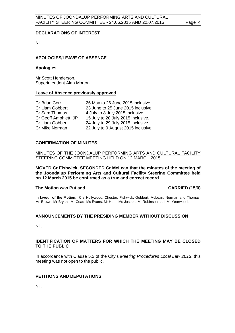#### <span id="page-3-0"></span>**DECLARATIONS OF INTEREST**

Nil.

### <span id="page-3-1"></span>**APOLOGIES/LEAVE OF ABSENCE**

#### **Apologies**

Mr Scott Henderson. Superintendent Alan Morton.

#### **Leave of Absence previously approved**

| Cr Brian Corr         | 26 May to 26 June 2015 inclusive.   |
|-----------------------|-------------------------------------|
| Cr Liam Gobbert       | 23 June to 25 June 2015 inclusive.  |
| Cr Sam Thomas         | 4 July to 8 July 2015 inclusive.    |
| Cr Geoff Amphlett, JP | 15 July to 20 July 2015 inclusive.  |
| Cr Liam Gobbert       | 24 July to 29 July 2015 inclusive.  |
| Cr Mike Norman        | 22 July to 9 August 2015 inclusive. |

#### <span id="page-3-2"></span>**CONFIRMATION OF MINUTES**

MINUTES OF THE JOONDALUP PERFORMING ARTS AND CULTURAL FACILITY STEERING COMMITTEE MEETING HELD ON 12 MARCH 2015

**MOVED Cr Fishwick, SECONDED Cr McLean that the minutes of the meeting of the Joondalup Performing Arts and Cultural Facility Steering Committee held on 12 March 2015 be confirmed as a true and correct record.**

#### The Motion was Put and **CARRIED** (15/0)

**In favour of the Motion:** Crs Hollywood, Chester, Fishwick, Gobbert, McLean, Norman and Thomas, Ms Brown, Mr Bryant, Mr Coad, Ms Evans, Mr Hunt, Ms Joseph, Mr Robinson and Mr Yearwood.

#### <span id="page-3-4"></span><span id="page-3-3"></span>**ANNOUNCEMENTS BY THE PRESIDING MEMBER WITHOUT DISCUSSION**

Nil.

#### **IDENTIFICATION OF MATTERS FOR WHICH THE MEETING MAY BE CLOSED TO THE PUBLIC**

<span id="page-3-5"></span>In accordance with Clause 5.2 of the City's *Meeting Procedures Local Law 2013*, this meeting was not open to the public.

#### **PETITIONS AND DEPUTATIONS**

Nil.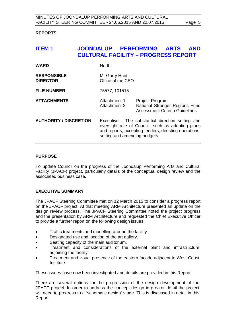#### **REPORTS**

<span id="page-4-0"></span>

| <b>ITEM1</b>                          |                                    | JOONDALUP PERFORMING ARTS<br><b>CULTURAL FACILITY - PROGRESS REPORT</b>                                                                                                                          | <b>AND</b>                                                              |
|---------------------------------------|------------------------------------|--------------------------------------------------------------------------------------------------------------------------------------------------------------------------------------------------|-------------------------------------------------------------------------|
| <b>WARD</b>                           | <b>North</b>                       |                                                                                                                                                                                                  |                                                                         |
| <b>RESPONSIBLE</b><br><b>DIRECTOR</b> | Mr Garry Hunt<br>Office of the CEO |                                                                                                                                                                                                  |                                                                         |
| <b>FILE NUMBER</b>                    | 75577, 101515                      |                                                                                                                                                                                                  |                                                                         |
| <b>ATTACHMENTS</b>                    | Attachment 1<br>Attachment 2       | <b>Project Program</b>                                                                                                                                                                           | National Stronger Regions Fund<br><b>Assessment Criteria Guidelines</b> |
| <b>AUTHORITY / DISCRETION</b>         |                                    | Executive - The substantial direction setting and<br>oversight role of Council, such as adopting plans<br>and reports, accepting tenders, directing operations,<br>setting and amending budgets. |                                                                         |

#### **PURPOSE**

To update Council on the progress of the Joondalup Performing Arts and Cultural Facility (JPACF) project, particularly details of the conceptual design review and the associated business case.

#### **EXECUTIVE SUMMARY**

The JPACF Steering Committee met on 12 March 2015 to consider a progress report on the JPACF project. At that meeting ARM Architecture presented an update on the design review process. The JPACF Steering Committee noted the project progress and the presentation by ARM Architecture and requested the Chief Executive Officer to provide a further report on the following design issues:

- Traffic treatments and modelling around the facility.
- Designated use and location of the art gallery.
- Seating capacity of the main auditorium.
- Treatment and considerations of the external plant and infrastructure adjoining the facility.
- Treatment and visual presence of the eastern facade adjacent to West Coast Institute.

These issues have now been investigated and details are provided in this Report.

There are several options for the progression of the design development of the JPACF project. In order to address the concept design in greater detail the project will need to progress to a 'schematic design' stage. This is discussed in detail in this Report.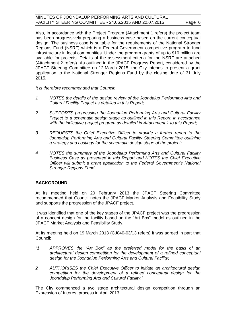Also, in accordance with the Project Program (Attachment 1 refers) the project team has been progressively preparing a business case based on the current conceptual design. The business case is suitable for the requirements of the National Stronger Regions Fund (NSRF) which is a Federal Government competitive program to fund infrastructure in local communities. Under the program grants of up to \$10 million are available for projects. Details of the assessment criteria for the NSRF are attached (Attachment 2 refers). As outlined in the JPACF Progress Report, considered by the JPACF Steering Committee on 12 March 2015, the City intends to present a grant application to the National Stronger Regions Fund by the closing date of 31 July 2015.

*It is therefore recommended that Council:* 

- *1 NOTES the details of the design review of the Joondalup Performing Arts and Cultural Facility Project as detailed in this Report;*
- *2 SUPPORTS progressing the Joondalup Performing Arts and Cultural Facility Project to a schematic design stage as outlined in this Report, in accordance*  with the indicative project program as detailed in Attachment 1 to this Report;
- *3 REQUESTS the Chief Executive Officer to provide a further report to the Joondalup Performing Arts and Cultural Facility Steering Committee outlining a strategy and costings for the schematic design stage of the project;*
- *4 NOTES the summary of the Joondalup Performing Arts and Cultural Facility Business Case as presented in this Report and NOTES the Chief Executive Officer will submit a grant application to the Federal Government's National Stronger Regions Fund.*

#### **BACKGROUND**

At its meeting held on 20 February 2013 the JPACF Steering Committee recommended that Council notes the JPACF Market Analysis and Feasibility Study and supports the progression of the JPACF project.

It was identified that one of the key stages of the JPACF project was the progression of a concept design for the facility based on the "Art Box" model as outlined in the JPACF Market Analysis and Feasibility Study.

At its meeting held on 19 March 2013 (CJ040-03/13 refers) it was agreed in part that Council:

- *"1 APPROVES the "Art Box" as the preferred model for the basis of an architectural design competition for the development of a refined conceptual design for the Joondalup Performing Arts and Cultural Facility;*
- *2 AUTHORISES the Chief Executive Officer to initiate an architectural design competition for the development of a refined conceptual design for the Joondalup Performing Arts and Cultural Facility."*

The City commenced a two stage architectural design competition through an Expression of Interest process in April 2013.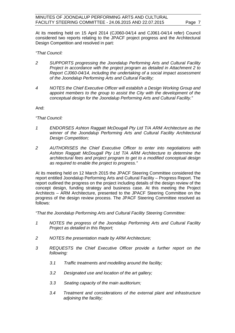At its meeting held on 15 April 2014 (CJ060-04/14 and CJ061-04/14 refer) Council considered two reports relating to the JPACF project progress and the Architectural Design Competition and resolved in part:

#### *"That Council:*

- *2 SUPPORTS progressing the Joondalup Performing Arts and Cultural Facility Project in accordance with the project program as detailed in Attachment 2 to Report CJ060-04/14, including the undertaking of a social impact assessment of the Joondalup Performing Arts and Cultural Facility;*
- *4 NOTES the Chief Executive Officer will establish a Design Working Group and appoint members to the group to assist the City with the development of the conceptual design for the Joondalup Performing Arts and Cultural Facility."*

And:

*"That Council:*

- *1 ENDORSES Ashton Raggatt McDougall Pty Ltd T/A ARM Architecture as the winner of the Joondalup Performing Arts and Cultural Facility Architectural Design Competition;*
- *2 AUTHORISES the Chief Executive Officer to enter into negotiations with Ashton Raggatt McDougall Pty Ltd T/A ARM Architecture to determine the architectural fees and project program to get to a modified conceptual design as required to enable the project to progress."*

At its meeting held on 12 March 2015 the JPACF Steering Committee considered the report entitled Joondalup Performing Arts and Cultural Facility – Progress Report. The report outlined the progress on the project including details of the design review of the concept design, funding strategy and business case. At this meeting the Project Architects – ARM Architecture, presented to the JPACF Steering Committee on the progress of the design review process. The JPACF Steering Committee resolved as follows:

*"That the Joondalup Performing Arts and Cultural Facility Steering Committee:*

- *1 NOTES the progress of the Joondalup Performing Arts and Cultural Facility Project as detailed in this Report;*
- *2 NOTES the presentation made by ARM Architecture;*
- *3 REQUESTS the Chief Executive Officer provide a further report on the following:*
	- *3.1 Traffic treatments and modelling around the facility;*
	- *3.2 Designated use and location of the art gallery;*
	- *3.3 Seating capacity of the main auditorium;*
	- *3.4 Treatment and considerations of the external plant and infrastructure adjoining the facility;*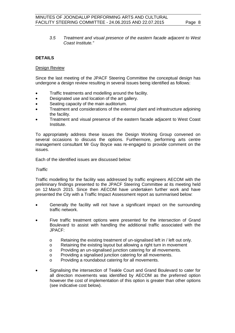*3.5 Treatment and visual presence of the eastern facade adjacent to West Coast Institute."*

### **DETAILS**

#### Design Review

Since the last meeting of the JPACF Steering Committee the conceptual design has undergone a design review resulting in several issues being identified as follows:

- Traffic treatments and modelling around the facility.
- Designated use and location of the art gallery.
- Seating capacity of the main auditorium.
- Treatment and considerations of the external plant and infrastructure adjoining the facility.
- Treatment and visual presence of the eastern facade adjacent to West Coast **Institute**

To appropriately address these issues the Design Working Group convened on several occasions to discuss the options. Furthermore, performing arts centre management consultant Mr Guy Boyce was re-engaged to provide comment on the issues.

Each of the identified issues are discussed below:

#### *Traffic*

Traffic modelling for the facility was addressed by traffic engineers AECOM with the preliminary findings presented to the JPACF Steering Committee at its meeting held on 12 March 2015. Since then AECOM have undertaken further work and have presented the City with a Traffic Impact Assessment report as summarised below:

- Generally the facility will not have a significant impact on the surrounding traffic network.
- Five traffic treatment options were presented for the intersection of Grand Boulevard to assist with handling the additional traffic associated with the JPACF:
	- o Retaining the existing treatment of un-signalised left in / left out only.
	- $\circ$  Retaining the existing layout but allowing a right turn in movement
	- o Providing an un-signalised junction catering for all movements.
	- o Providing a signalised junction catering for all movements.
	- o Providing a roundabout catering for all movements.
- Signalising the intersection of Teakle Court and Grand Boulevard to cater for all direction movements was identified by AECOM as the preferred option however the cost of implementation of this option is greater than other options (see indicative cost below).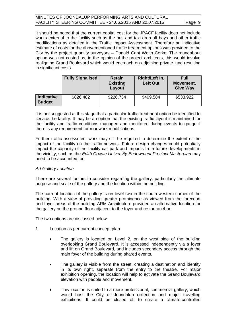It should be noted that the current capital cost for the JPACF facility does not include works external to the facility such as the bus and taxi drop-off bays and other traffic modifications as detailed in the Traffic Impact Assessment. Therefore an indicative estimate of costs for the abovementioned traffic treatment options was provided to the City by the project quantity surveyors – Donald Cant Watts Corke. The roundabout option was not costed as, in the opinion of the project architects, this would involve realigning Grand Boulevard which would encroach on adjoining private land resulting in significant costs.

|                                    | <b>Fully Signalised</b> | <b>Retain</b><br><b>Existing</b><br>Layout | Right/Left In,<br><b>Left Out</b> | Full<br>Movement,<br><b>Give Way</b> |
|------------------------------------|-------------------------|--------------------------------------------|-----------------------------------|--------------------------------------|
| <b>Indicative</b><br><b>Budget</b> | \$826,482               | \$226,734                                  | \$409,584                         | \$533,922                            |

It is not suggested at this stage that a particular traffic treatment option be identified to service the facility. It may be an option that the existing traffic layout is maintained for the facility and traffic conditions managed and monitored during events to gauge if there is any requirement for roadwork modifications.

Further traffic assessment work may still be required to determine the extent of the impact of the facility on the traffic network. Future design changes could potentially impact the capacity of the facility car park and impacts from future developments in the vicinity, such as the *Edith Cowan University Endowment Precinct Masterplan* may need to be accounted for.

#### *Art Gallery Location*

There are several factors to consider regarding the gallery, particularly the ultimate purpose and scale of the gallery and the location within the building.

The current location of the gallery is on level two in the south-western corner of the building. With a view of providing greater prominence as viewed from the forecourt and foyer areas of the building ARM Architecture provided an alternative location for the gallery on the ground floor adjacent to the foyer and restaurant/bar.

The two options are discussed below:

- 1 Location as per current concept plan
	- The gallery is located on Level 2, on the west side of the building overlooking Grand Boulevard. It is accessed independently via a foyer and lift on Grand Boulevard, and includes secondary access through the main foyer of the building during shared events.
	- The gallery is visible from the street, creating a destination and identity in its own right, separate from the entry to the theatre. For major exhibition opening, the location will help to activate the Grand Boulevard elevation with people and movement.
	- This location is suited to a more professional, commercial gallery, which would host the City of Joondalup collection and major travelling exhibitions. It could be closed off to create a climate-controlled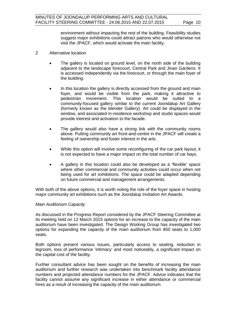environment without impacting the rest of the building. Feasibility studies suggest major exhibitions could attract patrons who would otherwise not visit the JPACF, which would activate the main facility.

- 2 Alternative location
	- The gallery is located on ground level, on the north side of the building adjacent to the landscape forecourt, Central Park and Jinan Gardens. It is accessed independently via the forecourt, or through the main foyer of the building.
	- In this location the gallery is directly accessed from the ground and main foyer, and would be visible from the park, making it attractive to pedestrian movement. This location would be suited to a community-focused gallery similar to the current Joondalup Art Gallery (formerly known as the blender Gallery). Art could be displayed in the window, and associated in-residence workshop and studio spaces would provide interest and activation to the facade.
	- The gallery would also have a strong link with the community rooms above. Putting community art front-and-centre in the JPACF will create a feeling of ownership and foster interest in the arts.
	- While this option will involve some reconfiguring of the car park layout, it is not expected to have a major impact on the total number of car bays.
	- A gallery in this location could also be developed as a 'flexible' space where other commercial and community activities could occur when not being used for art exhibitions. The space could be adapted depending on future commercial and management arrangements.

With both of the above options, it is worth noting the role of the foyer space in hosting major community art exhibitions such as the Joondalup Invitation Art Awards.

#### *Main Auditorium Capacity*

As discussed in the Progress Report considered by the JPACF Steering Committee at its meeting held on 12 March 2015 options for an increase to the capacity of the main auditorium have been investigated. The Design Working Group has investigated two options for expanding the capacity of the main auditorium from 850 seats to 1,000 seats.

Both options present various issues, particularly access to seating, reduction in legroom, loss of performance 'intimacy' and most noticeably, a significant impact on the capital cost of the facility.

Further consultant advice has been sought on the benefits of increasing the main auditorium and further research was undertaken into benchmark facility attendance numbers and projected attendance numbers for the JPACF. Advice indicates that the facility cannot assume any significant increase in either attendance or commercial hires as a result of increasing the capacity of the main auditorium.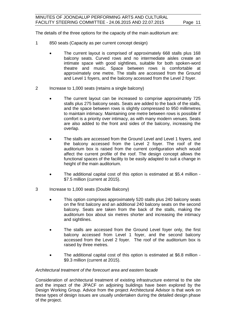The details of the three options for the capacity of the main auditorium are:

- 1 850 seats (Capacity as per current concept design)
	- The current layout is comprised of approximately 668 stalls plus 168 balcony seats. Curved rows and no intermediate aisles create an intimate space with good sightlines, suitable for both spoken-word theatre and music. Space between rows is comfortable at approximately one metre. The stalls are accessed from the Ground and Level 1 foyers, and the balcony accessed from the Level 2 foyer.
- 2 Increase to 1,000 seats (retains a single balcony)
	- The current layout can be increased to comprise approximately 725 stalls plus 275 balcony seats. Seats are added to the back of the stalls, and the space between rows is slightly compressed to 950 millimetres to maintain intimacy. Maintaining one metre between rows is possible if comfort is a priority over intimacy, as with many modern venues. Seats are also added to the front and sides of the balcony, increasing the overlap.
	- The stalls are accessed from the Ground Level and Level 1 foyers, and the balcony accessed from the Level 2 foyer. The roof of the auditorium box is raised from the current configuration which would affect the current profile of the roof. The design concept allows the functional spaces of the facility to be easily adapted to suit a change in height of the main auditorium.
	- The additional capital cost of this option is estimated at \$5.4 million \$7.5 million (current at 2015).
- 3 Increase to 1,000 seats (Double Balcony)
	- This option comprises approximately 520 stalls plus 240 balcony seats on the first balcony and an additional 240 balcony seats on the second balcony. Seats are taken from the back of the stalls, making the auditorium box about six metres shorter and increasing the intimacy and sightlines.
	- The stalls are accessed from the Ground Level foyer only, the first balcony accessed from Level 1 foyer, and the second balcony accessed from the Level 2 foyer. The roof of the auditorium box is raised by three metres.
	- The additional capital cost of this option is estimated at \$6.8 million \$9.3 million (current at 2015).

#### *Architectural treatment of the forecourt area and eastern facade*

Consideration of architectural treatment of existing infrastructure external to the site and the impact of the JPACF on adjoining buildings have been explored by the Design Working Group. Advice from the project Architectural Advisor is that work on these types of design issues are usually undertaken during the detailed design phase of the project.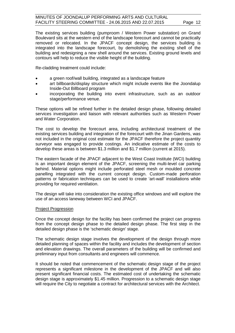The existing services building (pumproom / Western Power substation) on Grand Boulevard sits at the western end of the landscape forecourt and cannot be practically removed or relocated. In the JPACF concept design, the services building is integrated into the landscape forecourt, by demolishing the existing shell of the building and redesigning a new shell around the services. Existing ground levels and contours will help to reduce the visible height of the building.

Re-cladding treatment could include:

- a green roof/wall building, integrated as a landscape feature
- art billboards/display structure which might include events like the Joondalup Inside-Out Billboard program
- incorporating the building into event infrastructure, such as an outdoor stage/performance venue.

These options will be refined further in the detailed design phase, following detailed services investigation and liaison with relevant authorities such as Western Power and Water Corporation.

The cost to develop the forecourt area, including architectural treatment of the existing services building and integration of the forecourt with the Jinan Gardens, was not included in the original cost estimate for the JPACF therefore the project quantity surveyor was engaged to provide costings. An indicative estimate of the costs to develop these areas is between \$1.3 million and \$1.7 million (current at 2015).

The eastern facade of the JPACF adjacent to the West Coast Institute (WCI) building is an important design element of the JPACF, screening the multi-level car parking behind. Material options might include perforated steel mesh or moulded concrete panelling integrated with the current concept design. Custom-made perforation patterns or fabrication techniques can be used to create 'art-wall' installations while providing for required ventilation.

The design will take into consideration the existing office windows and will explore the use of an access laneway between WCI and JPACF.

#### Project Progression

Once the concept design for the facility has been confirmed the project can progress from the concept design phase to the detailed design phase. The first step in the detailed design phase is the 'schematic design' stage.

The schematic design stage involves the development of the design through more detailed planning of spaces within the facility and includes the development of section and elevation drawings. The overall parameters of the building will be confirmed and preliminary input from consultants and engineers will commence.

It should be noted that commencement of the schematic design stage of the project represents a significant milestone in the development of the JPACF and will also present significant financial costs. The estimated cost of undertaking the schematic design stage is approximately \$1.45 million. Progression to a schematic design stage will require the City to negotiate a contract for architectural services with the Architect.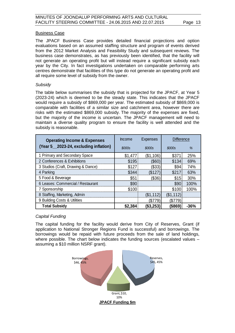#### Business Case

The JPACF Business Case provides detailed financial projections and option evaluations based on an assumed staffing structure and program of events derived from the 2012 Market Analysis and Feasibility Study and subsequent reviews. The business case demonstrates, as has previously been identified, that the facility will not generate an operating profit but will instead require a significant subsidy each year by the City. In fact investigations undertaken on comparable performing arts centres demonstrate that facilities of this type do not generate an operating profit and all require some level of subsidy from the owner.

#### *Subsidy*

The table below summarises the subsidy that is projected for the JPACF, at Year 5 (2023-24) which is deemed to be the steady state. This indicates that the JPACF would require a subsidy of \$869,000 per year. The estimated subsidy of \$869,000 is comparable with facilities of a similar size and catchment area, however there are risks with the estimated \$869,000 subsidy. The majority of the expenses are fixed, but the majority of the income is uncertain. The JPACF management will need to maintain a diverse quality program to ensure the facility is well attended and the subsidy is reasonable.

| <b>Operating Income &amp; Expenses</b> | Income  | <b>Expenses</b> | <b>Difference</b> |        |
|----------------------------------------|---------|-----------------|-------------------|--------|
| (Year 5 2023-24, excluding inflation)  | \$000s  | \$000s          | \$000s            | %      |
| 1 Primary and Secondary Space          | \$1.477 | (\$1,106)       | \$371             | 25%    |
| 2 Conferences & Exhibitions            | \$195   | (\$60)          | \$134             | 69%    |
| 3 Studios (Craft, Drawing & Dance)     | \$127   | (\$33)          | \$94              | 74%    |
| 4 Parking                              | \$344   | ß127)           | \$217             | 63%    |
| 5 Food & Beverage                      | \$51    | (\$36)          | \$15              | 30%    |
| 6 Leases: Commercial / Restaurant      | \$90    |                 | \$90              | 100%   |
| 7 Sponsorship                          | \$100   |                 | \$100             | 100%   |
| 8 Staffing, Marketing, Admin           |         | (\$1,112)       | (\$1,112)         |        |
| 9 Building Costs & Utilities           |         | 'S779           | 37،<br>79         |        |
| <b>Total Subsidy</b>                   | \$2,384 | (\$3,253        | (\$869)           | $-36%$ |

#### *Capital Funding*

The capital funding for the facility would derive from City of Reserves, Grant (if application to National Stronger Regions Fund is successful) and borrowings. The borrowings would be repaid with future proceeds from the sale of land holdings, where possible. The chart below indicates the funding sources (escalated values –  assuming a \$10 million NSRF grant).

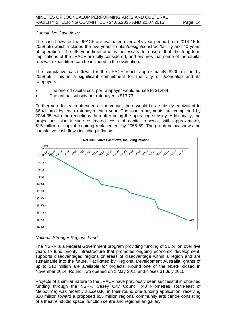#### *Cumulative Cash flows*

The cash flows for the JPACF are evaluated over a 45 year period (from 2014-15 to 2058-59) which includes the five years to plan/design/construct/facility and 40 years of operation. The 45 year timeframe is necessary to ensure that the long-term implications of the JPACF are fully considered, and ensures that some of the capital renewal expenditure can be included in the evaluation.

The cumulative cash flows for the JPACF reach approximately \$200 million by 2058-59. This is a significant commitment for the City of Joondalup and its ratepayers:

- The one-off capital cost per ratepayer would equate to \$1,484.
- The annual subsidy per ratepayer is \$13.73.

Furthermore for each attendee at the venue, there would be a subsidy equivalent to \$6.41 paid by each ratepayer each year. The loan repayments are completed by 2034-35, with the reductions thereafter being the operating subsidy. Additionally, the projections also include estimated costs of capital renewal, with approximately \$15 million of capital requiring replacement by 2058-59. The graph below shows the cumulative cash flows including inflation:



#### *National Stronger Regions Fund*

The NSRF is a Federal Government program providing funding of \$1 billion over five years to fund priority infrastructure that promotes ongoing economic development, supports disadvantaged regions or areas of disadvantage within a region and are sustainable into the future. Facilitated by Regional Development Australia, grants of up to \$10 million are available for projects. Round one of the NSRF closed in November 2014. Round Two opened on 1 May 2015 and closes 31 July 2015.

Projects of a similar nature to the JPACF have previously been successful in obtained funding through the NSRF. Casey City Council (40 kilometres south-east of Melbourne) was recently successful in their round one funding application, receiving \$10 million toward a proposed \$55 million regional community arts centre consisting of a theatre, studio space, function centre and regional art gallery.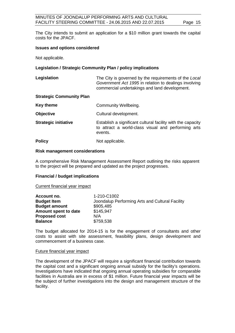The City intends to submit an application for a \$10 million grant towards the capital costs for the JPACF.

### **Issues and options considered**

Not applicable.

### **Legislation / Strategic Community Plan / policy implications**

| Legislation                     | The City is governed by the requirements of the Local<br>Government Act 1995 in relation to dealings involving<br>commercial undertakings and land development. |
|---------------------------------|-----------------------------------------------------------------------------------------------------------------------------------------------------------------|
| <b>Strategic Community Plan</b> |                                                                                                                                                                 |
| Key theme                       | Community Wellbeing.                                                                                                                                            |
| <b>Objective</b>                | Cultural development.                                                                                                                                           |
| <b>Strategic initiative</b>     | Establish a significant cultural facility with the capacity<br>to attract a world-class visual and performing arts<br>events.                                   |
| <b>Policy</b>                   | Not applicable.                                                                                                                                                 |

#### **Risk management considerations**

A comprehensive Risk Management Assessment Report outlining the risks apparent to the project will be prepared and updated as the project progresses.

#### **Financial / budget implications**

Current financial year impact

| Account no.          | 1-210-C1002                                     |
|----------------------|-------------------------------------------------|
| <b>Budget Item</b>   | Joondalup Performing Arts and Cultural Facility |
| <b>Budget amount</b> | \$905,485                                       |
| Amount spent to date | \$145,947                                       |
| <b>Proposed cost</b> | N/A                                             |
| <b>Balance</b>       | \$759,538                                       |

The budget allocated for 2014-15 is for the engagement of consultants and other costs to assist with site assessment, feasibility plans, design development and commencement of a business case.

#### Future financial year impact

The development of the JPACF will require a significant financial contribution towards the capital cost and a significant ongoing annual subsidy for the facility's operations. Investigations have indicated that ongoing annual operating subsidies for comparable facilities in Australia are in excess of \$1 million. Future financial year impacts will be the subject of further investigations into the design and management structure of the facility.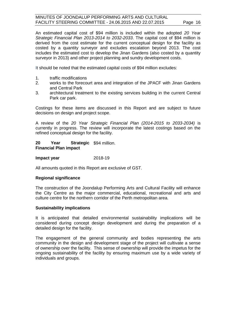An estimated capital cost of \$94 million is included within the adopted *20 Year Strategic Financial Plan 2013-2014 to 2032-2033*. The capital cost of \$94 million is derived from the cost estimate for the current conceptual design for the facility as costed by a quantity surveyor and excludes escalation beyond 2013. The cost includes the estimated cost to develop the Jinan Gardens (also costed by a quantity surveyor in 2013) and other project planning and sundry development costs.

It should be noted that the estimated capital costs of \$94 million excludes:

- 1. traffic modifications
- 2. works to the forecourt area and integration of the JPACF with Jinan Gardens and Central Park
- 3. architectural treatment to the existing services building in the current Central Park car park.

Costings for these items are discussed in this Report and are subject to future decisions on design and project scope.

A review of the *20 Year Strategic Financial Plan (2014-2015 to 2033-2034)* is currently in progress. The review will incorporate the latest costings based on the refined conceptual design for the facility.

#### **20 Year Strategic**  \$94 million. **Financial Plan impact**

#### **Impact year** 2018-19

All amounts quoted in this Report are exclusive of GST.

#### **Regional significance**

The construction of the Joondalup Performing Arts and Cultural Facility will enhance the City Centre as the major commercial, educational, recreational and arts and culture centre for the northern corridor of the Perth metropolitan area.

#### **Sustainability implications**

It is anticipated that detailed environmental sustainability implications will be considered during concept design development and during the preparation of a detailed design for the facility.

The engagement of the general community and bodies representing the arts community in the design and development stage of the project will cultivate a sense of ownership over the facility. This sense of ownership will provide the impetus for the ongoing sustainability of the facility by ensuring maximum use by a wide variety of individuals and groups.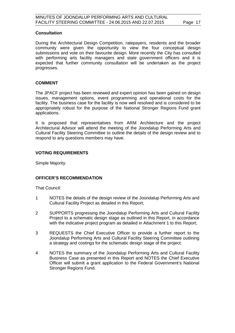#### **Consultation**

During the Architectural Design Competition, ratepayers, residents and the broader community were given the opportunity to view the four conceptual design submissions and vote on their favourite design. More recently the City has consulted with performing arts facility managers and state government officers and it is expected that further community consultation will be undertaken as the project progresses.

#### **COMMENT**

The JPACF project has been reviewed and expert opinion has been gained on design issues, management options, event programming and operational costs for the facility. The business case for the facility is now well resolved and is considered to be appropriately robust for the purpose of the National Stronger Regions Fund grant applications.

It is proposed that representatives from ARM Architecture and the project Architectural Advisor will attend the meeting of the Joondalup Performing Arts and Cultural Facility Steering Committee to outline the details of the design review and to respond to any questions members may have.

#### **VOTING REQUIREMENTS**

Simple Majority.

#### **OFFICER'S RECOMMENDATION**

That Council:

- 1 NOTES the details of the design review of the Joondalup Performing Arts and Cultural Facility Project as detailed in this Report;
- 2 SUPPORTS progressing the Joondalup Performing Arts and Cultural Facility Project to a schematic design stage as outlined in this Report, in accordance with the indicative project program as detailed in Attachment 1 to this Report:
- 3 REQUESTS the Chief Executive Officer to provide a further report to the Joondalup Performing Arts and Cultural Facility Steering Committee outlining a strategy and costings for the schematic design stage of the project;
- 4 NOTES the summary of the Joondalup Performing Arts and Cultural Facility Business Case as presented in this Report and NOTES the Chief Executive Officer will submit a grant application to the Federal Government's National Stronger Regions Fund.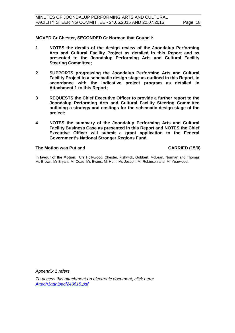**MOVED Cr Chester, SECONDED Cr Norman that Council:**

- **1 NOTES the details of the design review of the Joondalup Performing Arts and Cultural Facility Project as detailed in this Report and as presented to the Joondalup Performing Arts and Cultural Facility Steering Committee;**
- **2 SUPPORTS progressing the Joondalup Performing Arts and Cultural Facility Project to a schematic design stage as outlined in this Report, in accordance with the indicative project program as detailed in Attachment 1 to this Report;**
- **3 REQUESTS the Chief Executive Officer to provide a further report to the Joondalup Performing Arts and Cultural Facility Steering Committee outlining a strategy and costings for the schematic design stage of the project;**
- **4 NOTES the summary of the Joondalup Performing Arts and Cultural Facility Business Case as presented in this Report and NOTES the Chief Executive Officer will submit a grant application to the Federal Government's National Stronger Regions Fund.**

#### The Motion was Put and **CARRIED** (15/0)

**In favour of the Motion:** Crs Hollywood, Chester, Fishwick, Gobbert, McLean, Norman and Thomas, Ms Brown, Mr Bryant, Mr Coad, Ms Evans, Mr Hunt, Ms Joseph, Mr Robinson and Mr Yearwood.

*Appendix 1 refers*

*[To access this attachment on electronic document, click here:](http://www.joondalup.wa.gov.au/files/committees/JRPA/2015/Attach1agnjpacf240615.pdf)  Attach1agnjpacf240615.pdf*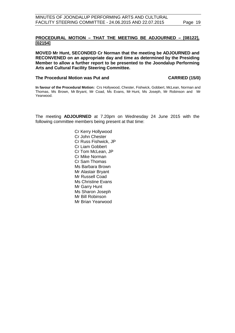#### **PROCEDURAL MOTION – THAT THE MEETING BE ADJOURNED – [08122], [02154]**

**MOVED Mr Hunt, SECONDED Cr Norman that the meeting be ADJOURNED and RECONVENED on an appropriate day and time as determined by the Presiding Member to allow a further report to be presented to the Joondalup Performing Arts and Cultural Facility Steering Committee.**

#### The Procedural Motion was Put and **CARRIED** (15/0)

**In favour of the Procedural Motion:** Crs Hollywood, Chester, Fishwick, Gobbert, McLean, Norman and Thomas, Ms Brown, Mr Bryant, Mr Coad, Ms Evans, Mr Hunt, Ms Joseph, Mr Robinson and Mr Yearwood.

The meeting **ADJOURNED** at 7.20pm on Wednesday 24 June 2015 with the following committee members being present at that time:

> Cr Kerry Hollywood Cr John Chester Cr Russ Fishwick, JP Cr Liam Gobbert Cr Tom McLean, JP Cr Mike Norman Cr Sam Thomas Ms Barbara Brown Mr Alastair Bryant Mr Russell Coad Ms Christine Evans Mr Garry Hunt Ms Sharon Joseph Mr Bill Robinson Mr Brian Yearwood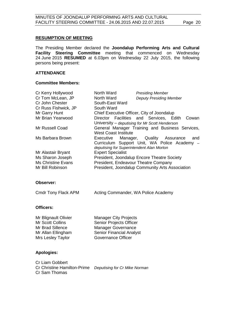#### **RESUMPTION OF MEETING**

The Presiding Member declared the **Joondalup Performing Arts and Cultural Facility Steering Committee** meeting that commenced on Wednesday 24 June 2015 **RESUMED** at 6.03pm on Wednesday 22 July 2015, the following persons being present:

#### **ATTENDANCE**

#### **Committee Members:**

| Cr Kerry Hollywood        | North Ward                  | <b>Presiding Member</b>                          |
|---------------------------|-----------------------------|--------------------------------------------------|
| Cr Tom McLean, JP         | North Ward                  | <b>Deputy Presiding Member</b>                   |
| Cr John Chester           | South-East Ward             |                                                  |
| Cr Russ Fishwick, JP      | South Ward                  |                                                  |
| Mr Garry Hunt             |                             | Chief Executive Officer, City of Joondalup       |
| Mr Brian Yearwood         |                             | Director Facilities and Services, Edith<br>Cowan |
|                           |                             | University – deputising for Mr Scott Henderson   |
| Mr Russell Coad           |                             | General Manager Training and Business Services,  |
|                           | <b>West Coast Institute</b> |                                                  |
| Ms Barbara Brown          |                             | Executive Manager, Quality Assurance<br>and      |
|                           |                             | Curriculum Support Unit, WA Police Academy -     |
|                           |                             | deputising for Superintendent Alan Morton        |
| Mr Alastair Bryant        | <b>Expert Specialist</b>    |                                                  |
| Ms Sharon Joseph          |                             | President, Joondalup Encore Theatre Society      |
| <b>Ms Christine Evans</b> |                             | President, Endeavour Theatre Company             |
| Mr Bill Robinson          |                             | President, Joondalup Community Arts Association  |

#### **Observer:**

| Cmdr Tony Flack APM | Acting Commander, WA Police Academy |
|---------------------|-------------------------------------|
|---------------------|-------------------------------------|

### **Officers:**

| <b>Manager City Projects</b>    |
|---------------------------------|
| <b>Senior Projects Officer</b>  |
| <b>Manager Governance</b>       |
| <b>Senior Financial Analyst</b> |
| Governance Officer              |
|                                 |

#### **Apologies:**

Cr Liam Gobbert Cr Christine Hamilton-Prime *Deputising for Cr Mike Norman* Cr Sam Thomas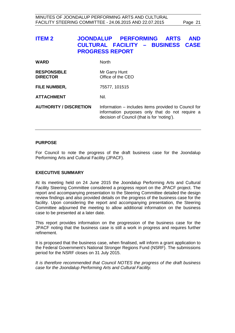<span id="page-20-0"></span>

| <b>ITEM 2</b>                         | JOONDALUP PERFORMING<br><b>ARTS</b><br><b>AND</b><br>CULTURAL FACILITY - BUSINESS CASE<br><b>PROGRESS REPORT</b>                                       |
|---------------------------------------|--------------------------------------------------------------------------------------------------------------------------------------------------------|
| <b>WARD</b>                           | <b>North</b>                                                                                                                                           |
| <b>RESPONSIBLE</b><br><b>DIRECTOR</b> | Mr Garry Hunt<br>Office of the CEO                                                                                                                     |
| <b>FILE NUMBER,</b>                   | 75577, 101515                                                                                                                                          |
| <b>ATTACHMENT</b>                     | Nil.                                                                                                                                                   |
| <b>AUTHORITY / DISCRETION</b>         | Information – includes items provided to Council for<br>information purposes only that do not require a<br>decision of Council (that is for 'noting'). |

#### **PURPOSE**

For Council to note the progress of the draft business case for the Joondalup Performing Arts and Cultural Facility (JPACF).

#### **EXECUTIVE SUMMARY**

At its meeting held on 24 June 2015 the Joondalup Performing Arts and Cultural Facility Steering Committee considered a progress report on the JPACF project. The report and accompanying presentation to the Steering Committee detailed the design review findings and also provided details on the progress of the business case for the facility. Upon considering the report and accompanying presentation, the Steering Committee adjourned the meeting to allow additional information on the business case to be presented at a later date.

This report provides information on the progression of the business case for the JPACF noting that the business case is still a work in progress and requires further refinement.

It is proposed that the business case, when finalised, will inform a grant application to the Federal Government's National Stronger Regions Fund (NSRF). The submissions period for the NSRF closes on 31 July 2015.

*It is therefore recommended that Council NOTES the progress of the draft business case for the Joondalup Performing Arts and Cultural Facility.*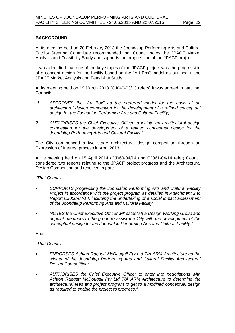#### **BACKGROUND**

At its meeting held on 20 February 2013 the Joondalup Performing Arts and Cultural Facility Steering Committee recommended that Council notes the JPACF Market Analysis and Feasibility Study and supports the progression of the JPACF project.

It was identified that one of the key stages of the JPACF project was the progression of a concept design for the facility based on the "Art Box" model as outlined in the JPACF Market Analysis and Feasibility Study.

At its meeting held on 19 March 2013 (CJ040-03/13 refers) it was agreed in part that Council:

- *"1 APPROVES the "Art Box" as the preferred model for the basis of an architectural design competition for the development of a refined conceptual design for the Joondalup Performing Arts and Cultural Facility;*
- *2 AUTHORISES the Chief Executive Officer to initiate an architectural design competition for the development of a refined conceptual design for the Joondalup Performing Arts and Cultural Facility."*

The City commenced a two stage architectural design competition through an Expression of Interest process in April 2013.

At its meeting held on 15 April 2014 (CJ060-04/14 and CJ061-04/14 refer) Council considered two reports relating to the JPACF project progress and the Architectural Design Competition and resolved in part:

#### *"That Council:*

- *SUPPORTS progressing the Joondalup Performing Arts and Cultural Facility Project in accordance with the project program as detailed in Attachment 2 to Report CJ060-04/14, including the undertaking of a social impact assessment of the Joondalup Performing Arts and Cultural Facility;*
- *NOTES the Chief Executive Officer will establish a Design Working Group and appoint members to the group to assist the City with the development of the conceptual design for the Joondalup Performing Arts and Cultural Facility."*

And:

#### *"That Council:*

- *ENDORSES Ashton Raggatt McDougall Pty Ltd T/A ARM Architecture as the winner of the Joondalup Performing Arts and Cultural Facility Architectural Design Competition;*
- *AUTHORISES the Chief Executive Officer to enter into negotiations with Ashton Raggatt McDougall Pty Ltd T/A ARM Architecture to determine the architectural fees and project program to get to a modified conceptual design as required to enable the project to progress."*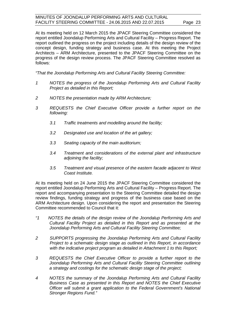At its meeting held on 12 March 2015 the JPACF Steering Committee considered the report entitled Joondalup Performing Arts and Cultural Facility – Progress Report. The report outlined the progress on the project including details of the design review of the concept design, funding strategy and business case. At this meeting the Project Architects – ARM Architecture, presented to the JPACF Steering Committee on the progress of the design review process. The JPACF Steering Committee resolved as follows:

*"That the Joondalup Performing Arts and Cultural Facility Steering Committee:*

- *1 NOTES the progress of the Joondalup Performing Arts and Cultural Facility Project as detailed in this Report;*
- *2 NOTES the presentation made by ARM Architecture;*
- *3 REQUESTS the Chief Executive Officer provide a further report on the following:*
	- *3.1 Traffic treatments and modelling around the facility;*
	- *3.2 Designated use and location of the art gallery;*
	- *3.3 Seating capacity of the main auditorium;*
	- *3.4 Treatment and considerations of the external plant and infrastructure adjoining the facility;*
	- *3.5 Treatment and visual presence of the eastern facade adjacent to West Coast Institute.*

At its meeting held on 24 June 2015 the JPACF Steering Committee considered the report entitled Joondalup Performing Arts and Cultural Facility – Progress Report. The report and accompanying presentation to the Steering Committee detailed the design review findings, funding strategy and progress of the business case based on the ARM Architecture design. Upon considering the report and presentation the Steering Committee recommended to Council that it:

- *"1 NOTES the details of the design review of the Joondalup Performing Arts and Cultural Facility Project as detailed in this Report and as presented at the Joondalup Performing Arts and Cultural Facility Steering Committee;*
- *2 SUPPORTS progressing the Joondalup Performing Arts and Cultural Facility Project to a schematic design stage as outlined in this Report, in accordance with the indicative project program as detailed in Attachment 1 to this Report;*
- *3 REQUESTS the Chief Executive Officer to provide a further report to the Joondalup Performing Arts and Cultural Facility Steering Committee outlining a strategy and costings for the schematic design stage of the project;*
- *4 NOTES the summary of the Joondalup Performing Arts and Cultural Facility Business Case as presented in this Report and NOTES the Chief Executive Officer will submit a grant application to the Federal Government's National Stronger Regions Fund."*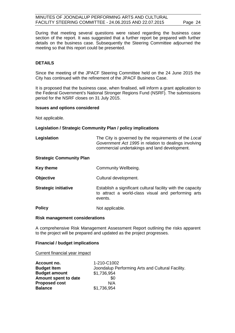During that meeting several questions were raised regarding the business case section of the report. It was suggested that a further report be prepared with further details on the business case. Subsequently the Steering Committee adjourned the meeting so that this report could be presented.

#### **DETAILS**

Since the meeting of the JPACF Steering Committee held on the 24 June 2015 the City has continued with the refinement of the JPACF Business Case.

It is proposed that the business case, when finalised, will inform a grant application to the Federal Government's National Stronger Regions Fund (NSRF). The submissions period for the NSRF closes on 31 July 2015.

#### **Issues and options considered**

Not applicable.

#### **Legislation / Strategic Community Plan / policy implications**

| Legislation | The City is governed by the requirements of the Local |
|-------------|-------------------------------------------------------|
|             | Government Act 1995 in relation to dealings involving |
|             | commercial undertakings and land development.         |

#### **Strategic Community Plan**

| <b>Key theme</b> | <b>Community Wellbeing.</b> |
|------------------|-----------------------------|
|------------------|-----------------------------|

**Objective** Cultural development.

**Strategic initiative** Establish a significant cultural facility with the capacity to attract a world-class visual and performing arts events.

**Policy** Not applicable.

#### **Risk management considerations**

A comprehensive Risk Management Assessment Report outlining the risks apparent to the project will be prepared and updated as the project progresses.

#### **Financial / budget implications**

Current financial year impact

| Account no.          | 1-210-C1002                                      |
|----------------------|--------------------------------------------------|
| <b>Budget Item</b>   | Joondalup Performing Arts and Cultural Facility. |
| <b>Budget amount</b> | \$1,736,954                                      |
| Amount spent to date | \$0                                              |
| <b>Proposed cost</b> | N/A                                              |
| <b>Balance</b>       | \$1,736,954                                      |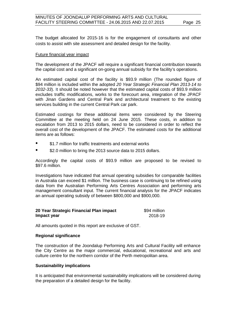The budget allocated for 2015-16 is for the engagement of consultants and other costs to assist with site assessment and detailed design for the facility.

#### Future financial year impact

The development of the JPACF will require a significant financial contribution towards the capital cost and a significant on-going annual subsidy for the facility's operations.

An estimated capital cost of the facility is \$93.9 million (The rounded figure of \$94 million is included within the adopted *20 Year Strategic Financial Plan 2013-14 to 2032-33*). It should be noted however that the estimated capital costs of \$93.9 million excludes traffic modifications, works to the forecourt area, integration of the JPACF with Jinan Gardens and Central Park and architectural treatment to the existing services building in the current Central Park car park.

Estimated costings for these additional items were considered by the Steering Committee at the meeting held on 24 June 2015. These costs, in addition to escalation from 2013 to 2015 dollars, need to be considered in order to reflect the overall cost of the development of the JPACF. The estimated costs for the additional items are as follows:

- \$1.7 million for traffic treatments and external works
- \$2.0 million to bring the 2013 source data to 2015 dollars.

Accordingly the capital costs of \$93.9 million are proposed to be revised to \$97.6 million.

Investigations have indicated that annual operating subsidies for comparable facilities in Australia can exceed \$1 million. The business case is continuing to be refined using data from the Australian Performing Arts Centres Association and performing arts management consultant input. The current financial analysis for the JPACF indicates an annual operating subsidy of between \$800,000 and \$900,000.

| 20 Year Strategic Financial Plan impact | \$94 million |
|-----------------------------------------|--------------|
| Impact year                             | 2018-19      |

All amounts quoted in this report are exclusive of GST.

#### **Regional significance**

The construction of the Joondalup Performing Arts and Cultural Facility will enhance the City Centre as the major commercial, educational, recreational and arts and culture centre for the northern corridor of the Perth metropolitan area.

#### **Sustainability implications**

It is anticipated that environmental sustainability implications will be considered during the preparation of a detailed design for the facility.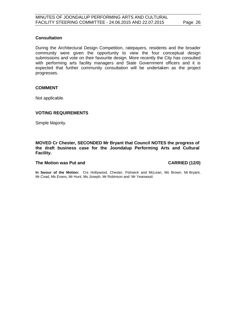#### **Consultation**

During the Architectural Design Competition, ratepayers, residents and the broader community were given the opportunity to view the four conceptual design submissions and vote on their favourite design. More recently the City has consulted with performing arts facility managers and State Government officers and it is expected that further community consultation will be undertaken as the project progresses.

#### **COMMENT**

Not applicable.

#### **VOTING REQUIREMENTS**

Simple Majority.

#### **MOVED Cr Chester, SECONDED Mr Bryant that Council NOTES the progress of the draft business case for the Joondalup Performing Arts and Cultural Facility.**

#### **The Motion was Put and CARRIED (12/0)**

**In favour of the Motion:** Crs Hollywood, Chester, Fishwick and McLean, Ms Brown, Mr Bryant, Mr Coad, Ms Evans, Mr Hunt, Ms Joseph, Mr Robinson and Mr Yearwood.